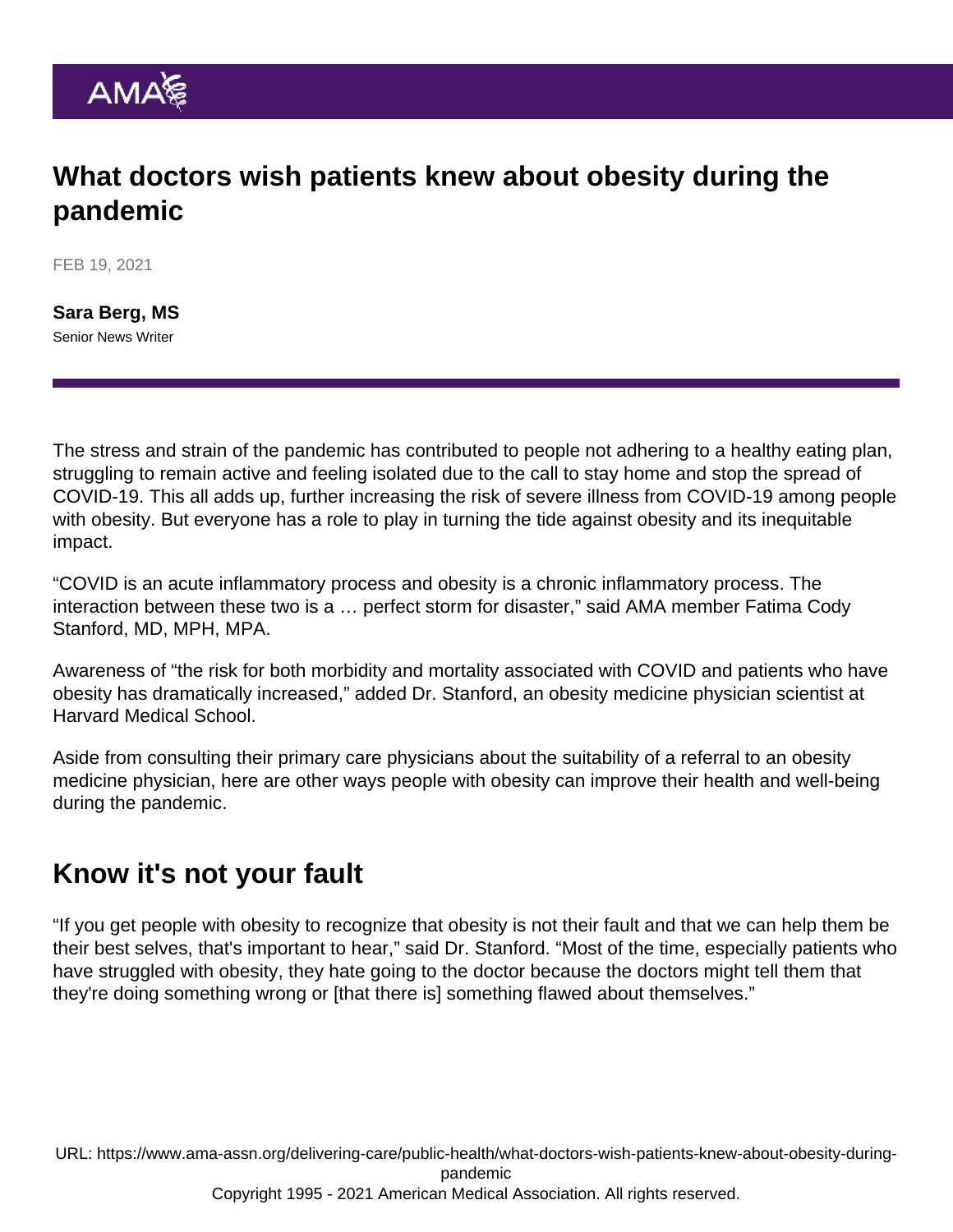# What doctors wish patients knew about obesity during the pandemic

FEB 19, 2021

[Sara Berg, MS](https://www.ama-assn.org/news-leadership-viewpoints/authors-news-leadership-viewpoints/sara-berg-ms) Senior News Writer

The stress and strain of the pandemic has contributed to people not adhering to a healthy eating plan, struggling to remain active and feeling isolated due to the call to stay home and stop the spread of COVID-19. This all adds up, further increasing the risk of severe illness from COVID-19 among people with obesity. But everyone has a role to play in turning the tide against obesity and its inequitable impact.

"COVID is an acute inflammatory process and obesity is a chronic inflammatory process. The interaction between these two is a … perfect storm for disaster," said AMA member [Fatima Cody](https://www.ama-assn.org/member-groups-sections/minority-affairs/fatima-cody-stanford-md-mpa-mph) [Stanford, MD, MPH, MPA.](https://www.ama-assn.org/member-groups-sections/minority-affairs/fatima-cody-stanford-md-mpa-mph)

Awareness of "the risk for both morbidity and mortality associated with COVID and patients who have obesity has dramatically increased," added [Dr. Stanford](https://www.ama-assn.org/residents-students/specialty-profiles/what-it-s-specialize-obesity-medicine-shadowing-dr-stanford), an obesity medicine physician scientist at Harvard Medical School.

Aside from consulting their primary care physicians about the suitability of a referral to an obesity medicine physician, here are other ways people with obesity can improve their health and well-being during the pandemic.

## Know it's not your fault

"If you get people with obesity to recognize that obesity is not their fault and that we can help them be their best selves, that's important to hear," said Dr. Stanford. "Most of the time, especially patients who have struggled with obesity, they hate going to the doctor because the doctors might tell them that they're doing something wrong or [that there is] something flawed about themselves."

URL: [https://www.ama-assn.org/delivering-care/public-health/what-doctors-wish-patients-knew-about-obesity-during](https://www.ama-assn.org/delivering-care/public-health/what-doctors-wish-patients-knew-about-obesity-during-pandemic)[pandemic](https://www.ama-assn.org/delivering-care/public-health/what-doctors-wish-patients-knew-about-obesity-during-pandemic) Copyright 1995 - 2021 American Medical Association. All rights reserved.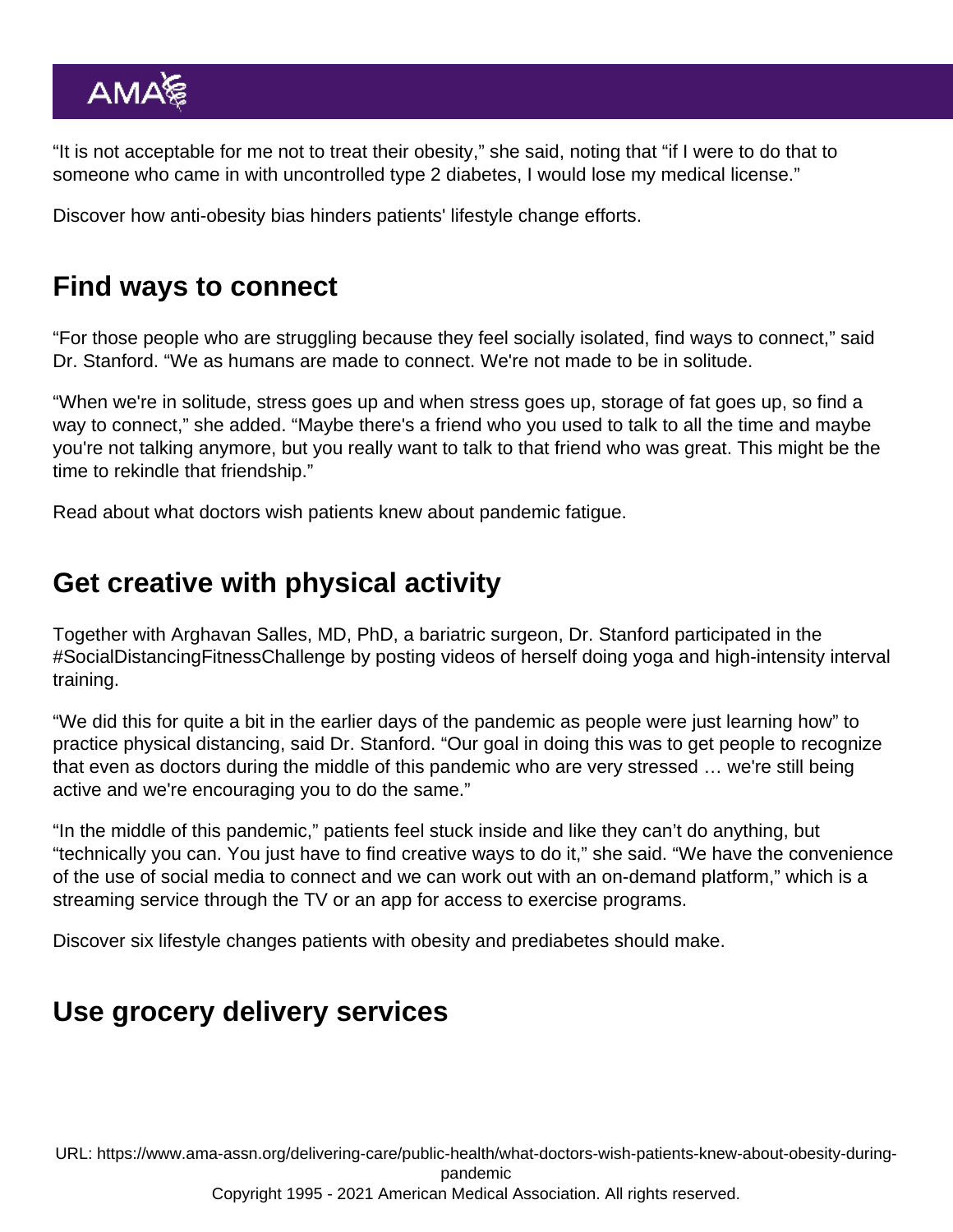"It is not acceptable for me not to treat their obesity," she said, noting that "if I were to do that to someone who came in with uncontrolled type 2 diabetes, I would lose my medical license."

Discover [how anti-obesity bias hinders patients' lifestyle change efforts](https://www.ama-assn.org/delivering-care/public-health/how-anti-obesity-bias-hinders-patients-lifestyle-change-efforts).

# Find ways to connect

"For those people who are struggling because they feel socially isolated, find ways to connect," said Dr. Stanford. "We as humans are made to connect. We're not made to be in solitude.

"When we're in solitude, stress goes up and when stress goes up, storage of fat goes up, so find a way to connect," she added. "Maybe there's a friend who you used to talk to all the time and maybe you're not talking anymore, but you really want to talk to that friend who was great. This might be the time to rekindle that friendship."

Read about [what doctors wish patients knew about pandemic fatigue.](https://www.ama-assn.org/delivering-care/public-health/what-doctors-wish-patients-knew-about-pandemic-fatigue)

# Get creative with physical activity

Together with Arghavan Salles, MD, PhD, a bariatric surgeon, Dr. Stanford participated in the [#SocialDistancingFitnessChallenge](https://twitter.com/search?q=#SocialDistancingFitnessChallenge&src=typed_query) by posting videos of herself doing yoga and high-intensity interval training.

"We did this for quite a bit in the earlier days of the pandemic as people were just learning how" to practice physical distancing, said Dr. Stanford. "Our goal in doing this was to get people to recognize that even as doctors during the middle of this pandemic who are very stressed … we're still being active and we're encouraging you to do the same."

"In the middle of this pandemic," patients feel stuck inside and like they can't do anything, but "technically you can. You just have to find creative ways to do it," she said. "We have the convenience of the use of social media to connect and we can work out with an on-demand platform," which is a streaming service through the TV or an app for access to exercise programs.

Discover [six lifestyle changes patients with obesity and prediabetes should make.](https://www.ama-assn.org/delivering-care/diabetes/6-lifestyle-changes-patients-obesity-prediabetes-should-make)

## Use grocery delivery services

URL: [https://www.ama-assn.org/delivering-care/public-health/what-doctors-wish-patients-knew-about-obesity-during](https://www.ama-assn.org/delivering-care/public-health/what-doctors-wish-patients-knew-about-obesity-during-pandemic)[pandemic](https://www.ama-assn.org/delivering-care/public-health/what-doctors-wish-patients-knew-about-obesity-during-pandemic)